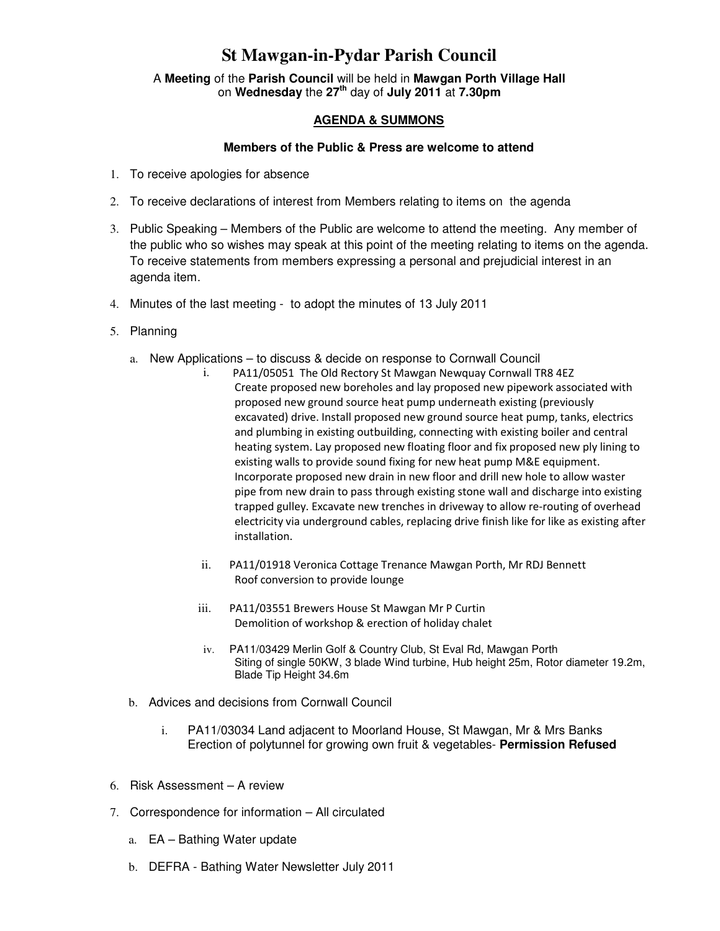## **St Mawgan-in-Pydar Parish Council**

A **Meeting** of the **Parish Council** will be held in **Mawgan Porth Village Hall** on **Wednesday** the **27th** day of **July 2011** at **7.30pm** 

## **AGENDA & SUMMONS**

## **Members of the Public & Press are welcome to attend**

- 1. To receive apologies for absence
- 2. To receive declarations of interest from Members relating to items on the agenda
- 3. Public Speaking Members of the Public are welcome to attend the meeting. Any member of the public who so wishes may speak at this point of the meeting relating to items on the agenda. To receive statements from members expressing a personal and prejudicial interest in an agenda item.
- 4. Minutes of the last meeting to adopt the minutes of 13 July 2011
- 5. Planning
	- a. New Applications to discuss & decide on response to Cornwall Council
		- i. PA11/05051 The Old Rectory St Mawgan Newquay Cornwall TR8 4EZ Create proposed new boreholes and lay proposed new pipework associated with proposed new ground source heat pump underneath existing (previously excavated) drive. Install proposed new ground source heat pump, tanks, electrics and plumbing in existing outbuilding, connecting with existing boiler and central heating system. Lay proposed new floating floor and fix proposed new ply lining to existing walls to provide sound fixing for new heat pump M&E equipment. Incorporate proposed new drain in new floor and drill new hole to allow waster pipe from new drain to pass through existing stone wall and discharge into existing trapped gulley. Excavate new trenches in driveway to allow re-routing of overhead electricity via underground cables, replacing drive finish like for like as existing after installation.
		- ii. PA11/01918 Veronica Cottage Trenance Mawgan Porth, Mr RDJ Bennett Roof conversion to provide lounge
		- iii. PA11/03551 Brewers House St Mawgan Mr P Curtin Demolition of workshop & erection of holiday chalet
		- iv. PA11/03429 Merlin Golf & Country Club, St Eval Rd, Mawgan Porth Siting of single 50KW, 3 blade Wind turbine, Hub height 25m, Rotor diameter 19.2m, Blade Tip Height 34.6m
	- b. Advices and decisions from Cornwall Council
		- i. PA11/03034 Land adjacent to Moorland House, St Mawgan, Mr & Mrs Banks Erection of polytunnel for growing own fruit & vegetables- **Permission Refused**
- 6. Risk Assessment A review
- 7. Correspondence for information All circulated
	- a. EA Bathing Water update
	- b. DEFRA Bathing Water Newsletter July 2011